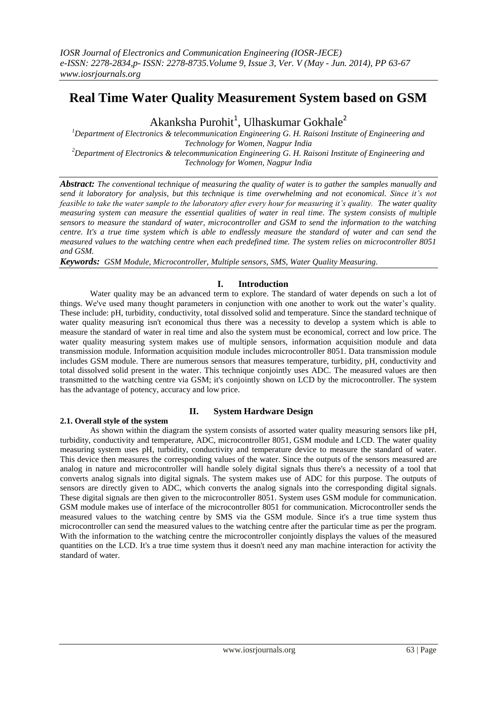# **Real Time Water Quality Measurement System based on GSM**

Akanksha Purohit<sup>1</sup>, Ulhaskumar Gokhale<sup>2</sup>

*<sup>1</sup>Department of Electronics & telecommunication Engineering G. H. Raisoni Institute of Engineering and Technology for Women, Nagpur India <sup>2</sup>Department of Electronics & telecommunication Engineering G. H. Raisoni Institute of Engineering and Technology for Women, Nagpur India*

*Abstract: The conventional technique of measuring the quality of water is to gather the samples manually and send it laboratory for analysis, but this technique is time overwhelming and not economical. Since it's not feasible to take the water sample to the laboratory after every hour for measuring it's quality. The water quality measuring system can measure the essential qualities of water in real time. The system consists of multiple sensors to measure the standard of water, microcontroller and GSM to send the information to the watching centre. It's a true time system which is able to endlessly measure the standard of water and can send the measured values to the watching centre when each predefined time. The system relies on microcontroller 8051 and GSM.*

*Keywords: GSM Module, Microcontroller, Multiple sensors, SMS, Water Quality Measuring.*

## **I. Introduction**

Water quality may be an advanced term to explore. The standard of water depends on such a lot of things. We've used many thought parameters in conjunction with one another to work out the water's quality. These include: pH, turbidity, conductivity, total dissolved solid and temperature. Since the standard technique of water quality measuring isn't economical thus there was a necessity to develop a system which is able to measure the standard of water in real time and also the system must be economical, correct and low price. The water quality measuring system makes use of multiple sensors, information acquisition module and data transmission module. Information acquisition module includes microcontroller 8051. Data transmission module includes GSM module. There are numerous sensors that measures temperature, turbidity, pH, conductivity and total dissolved solid present in the water. This technique conjointly uses ADC. The measured values are then transmitted to the watching centre via GSM; it's conjointly shown on LCD by the microcontroller. The system has the advantage of potency, accuracy and low price.

## **2.1. Overall style of the system**

## **II. System Hardware Design**

As shown within the diagram the system consists of assorted water quality measuring sensors like pH, turbidity, conductivity and temperature, ADC, microcontroller 8051, GSM module and LCD. The water quality measuring system uses pH, turbidity, conductivity and temperature device to measure the standard of water. This device then measures the corresponding values of the water. Since the outputs of the sensors measured are analog in nature and microcontroller will handle solely digital signals thus there's a necessity of a tool that converts analog signals into digital signals. The system makes use of ADC for this purpose. The outputs of sensors are directly given to ADC, which converts the analog signals into the corresponding digital signals. These digital signals are then given to the microcontroller 8051. System uses GSM module for communication. GSM module makes use of interface of the microcontroller 8051 for communication. Microcontroller sends the measured values to the watching centre by SMS via the GSM module. Since it's a true time system thus microcontroller can send the measured values to the watching centre after the particular time as per the program. With the information to the watching centre the microcontroller conjointly displays the values of the measured quantities on the LCD. It's a true time system thus it doesn't need any man machine interaction for activity the standard of water.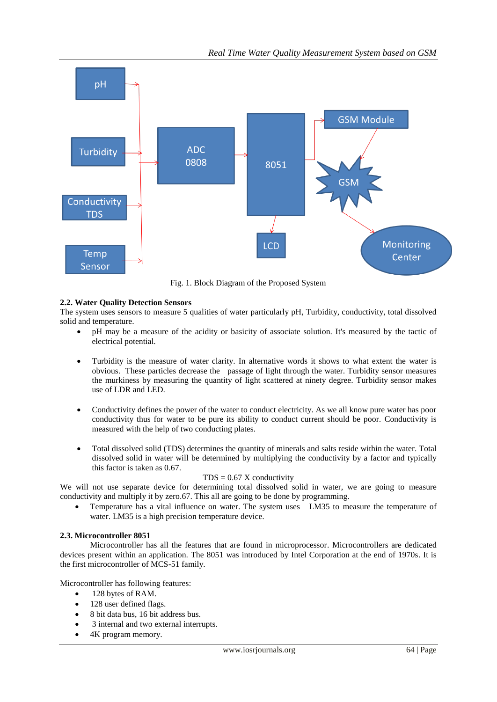

Fig. 1. Block Diagram of the Proposed System

### **2.2. Water Quality Detection Sensors**

The system uses sensors to measure 5 qualities of water particularly pH, Turbidity, conductivity, total dissolved solid and temperature.

- pH may be a measure of the acidity or basicity of associate solution. It's measured by the tactic of electrical potential.
- Turbidity is the measure of water clarity. In alternative words it shows to what extent the water is obvious. These particles decrease the passage of light through the water. Turbidity sensor measures the murkiness by measuring the quantity of light scattered at ninety degree. Turbidity sensor makes use of LDR and LED.
- Conductivity defines the power of the water to conduct electricity. As we all know pure water has poor conductivity thus for water to be pure its ability to conduct current should be poor. Conductivity is measured with the help of two conducting plates.
- Total dissolved solid (TDS) determines the quantity of minerals and salts reside within the water. Total dissolved solid in water will be determined by multiplying the conductivity by a factor and typically this factor is taken as 0.67.

#### $TDS = 0.67$  X conductivity

We will not use separate device for determining total dissolved solid in water, we are going to measure conductivity and multiply it by zero.67. This all are going to be done by programming.

 Temperature has a vital influence on water. The system uses LM35 to measure the temperature of water. LM35 is a high precision temperature device.

#### **2.3. Microcontroller 8051**

Microcontroller has all the features that are found in microprocessor. Microcontrollers are dedicated devices present within an application. The 8051 was introduced by Intel Corporation at the end of 1970s. It is the first microcontroller of MCS-51 family.

Microcontroller has following features:

- 128 bytes of RAM.
- 128 user defined flags.
- 8 bit data bus, 16 bit address bus.
- 3 internal and two external interrupts.
- 4K program memory.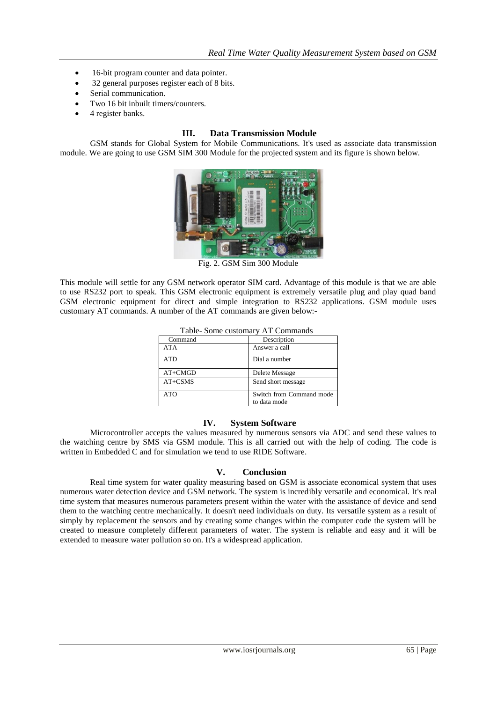- 16-bit program counter and data pointer.
- 32 general purposes register each of 8 bits.
- Serial communication.
- Two 16 bit inbuilt timers/counters.
- 4 register banks.

## **III. Data Transmission Module**

GSM stands for Global System for Mobile Communications. It's used as associate data transmission module. We are going to use GSM SIM 300 Module for the projected system and its figure is shown below.



Fig. 2. GSM Sim 300 Module

This module will settle for any GSM network operator SIM card. Advantage of this module is that we are able to use RS232 port to speak. This GSM electronic equipment is extremely versatile plug and play quad band GSM electronic equipment for direct and simple integration to RS232 applications. GSM module uses customary AT commands. A number of the AT commands are given below:-

| Table- Some customary AT Commands |                                          |
|-----------------------------------|------------------------------------------|
| Command                           | Description                              |
| <b>ATA</b>                        | Answer a call                            |
| <b>ATD</b>                        | Dial a number                            |
| $AT+CMGD$                         | Delete Message                           |
| $AT+CSMS$                         | Send short message                       |
| ATO                               | Switch from Command mode<br>to data mode |

#### **IV. System Software**

Microcontroller accepts the values measured by numerous sensors via ADC and send these values to the watching centre by SMS via GSM module. This is all carried out with the help of coding. The code is written in Embedded C and for simulation we tend to use RIDE Software.

## **V. Conclusion**

Real time system for water quality measuring based on GSM is associate economical system that uses numerous water detection device and GSM network. The system is incredibly versatile and economical. It's real time system that measures numerous parameters present within the water with the assistance of device and send them to the watching centre mechanically. It doesn't need individuals on duty. Its versatile system as a result of simply by replacement the sensors and by creating some changes within the computer code the system will be created to measure completely different parameters of water. The system is reliable and easy and it will be extended to measure water pollution so on. It's a widespread application.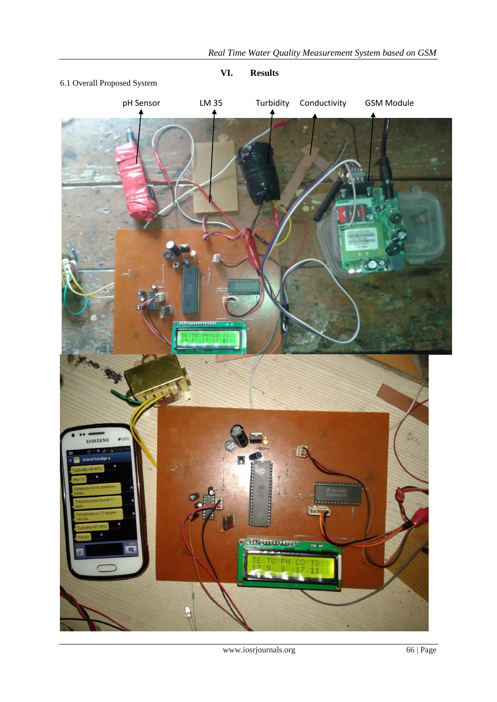